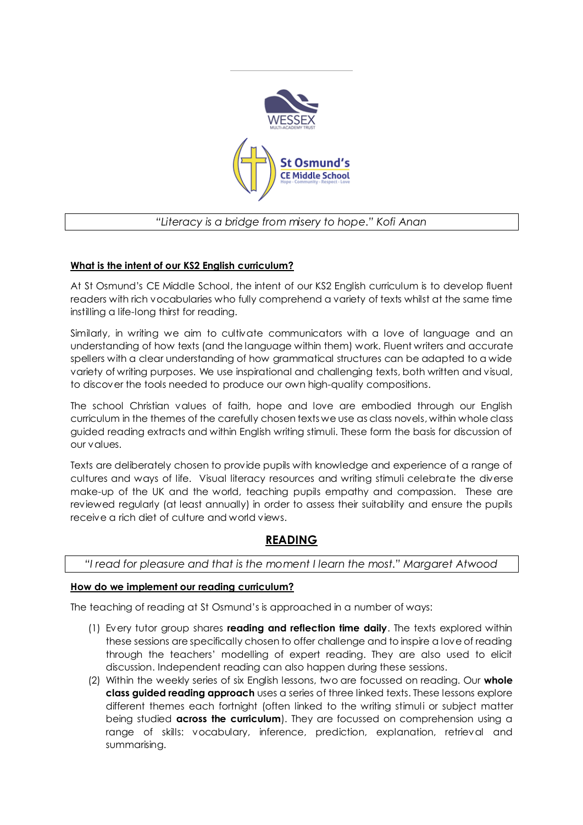

# *"Literacy is a bridge from misery to hope." Kofi Anan*

## **What is the intent of our KS2 English curriculum?**

At St Osmund's CE Middle School, the intent of our KS2 English curriculum is to develop fluent readers with rich vocabularies who fully comprehend a variety of texts whilst at the same time instilling a life-long thirst for reading.

Similarly, in writing we aim to cultivate communicators with a love of language and an understanding of how texts (and the language within them) work. Fluent writers and accurate spellers with a clear understanding of how grammatical structures can be adapted to a wide variety of writing purposes. We use inspirational and challenging texts, both written and visual, to discover the tools needed to produce our own high-quality compositions.

The school Christian values of faith, hope and love are embodied through our English curriculum in the themes of the carefully chosen texts we use as class novels, within whole class guided reading extracts and within English writing stimuli. These form the basis for discussion of our values.

Texts are deliberately chosen to provide pupils with knowledge and experience of a range of cultures and ways of life. Visual literacy resources and writing stimuli celebrate the diverse make-up of the UK and the world, teaching pupils empathy and compassion. These are reviewed regularly (at least annually) in order to assess their suitability and ensure the pupils receive a rich diet of culture and world views.

# **READING**

*"I read for pleasure and that is the moment I learn the most." Margaret Atwood*

### **How do we implement our reading curriculum?**

The teaching of reading at St Osmund's is approached in a number of ways:

- (1) Every tutor group shares **reading and reflection time daily**. The texts explored within these sessions are specifically chosen to offer challenge and to inspire a love of reading through the teachers' modelling of expert reading. They are also used to elicit discussion. Independent reading can also happen during these sessions.
- (2) Within the weekly series of six English lessons, two are focussed on reading. Our **whole class guided reading approach** uses a series of three linked texts. These lessons explore different themes each fortnight (often linked to the writing stimuli or subject matter being studied **across the curriculum**). They are focussed on comprehension using a range of skills: vocabulary, inference, prediction, explanation, retrieval and summarising.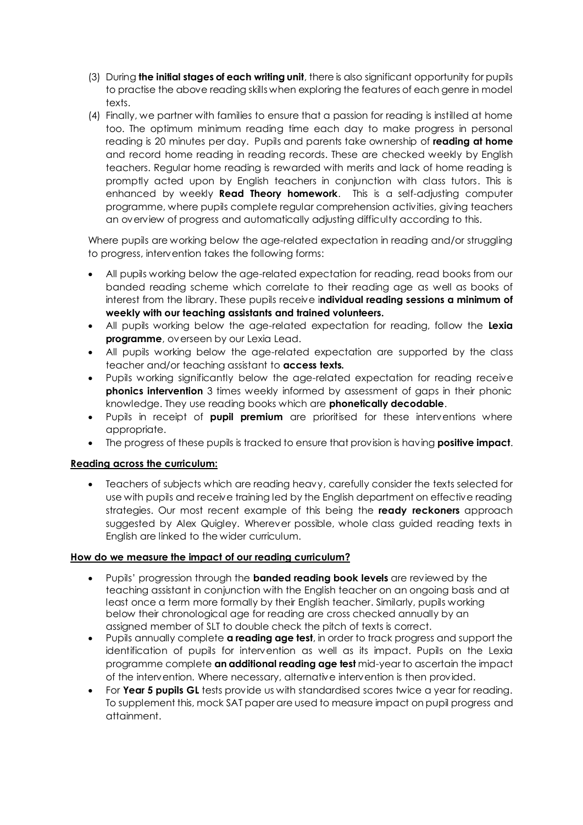- (3) During **the initial stages of each writing unit**, there is also significant opportunity for pupils to practise the above reading skills when exploring the features of each genre in model texts.
- (4) Finally, we partner with families to ensure that a passion for reading is instilled at home too. The optimum minimum reading time each day to make progress in personal reading is 20 minutes per day. Pupils and parents take ownership of **reading at home** and record home reading in reading records. These are checked weekly by English teachers. Regular home reading is rewarded with merits and lack of home reading is promptly acted upon by English teachers in conjunction with class tutors. This is enhanced by weekly **Read Theory homework**. This is a self-adjusting computer programme, where pupils complete regular comprehension activities, giving teachers an overview of progress and automatically adjusting difficulty according to this.

Where pupils are working below the age-related expectation in reading and/or struggling to progress, intervention takes the following forms:

- All pupils working below the age-related expectation for reading, read books from our banded reading scheme which correlate to their reading age as well as books of interest from the library. These pupils receive i**ndividual reading sessions a minimum of weekly with our teaching assistants and trained volunteers.**
- All pupils working below the age-related expectation for reading, follow the **Lexia programme**, overseen by our Lexia Lead.
- All pupils working below the age-related expectation are supported by the class teacher and/or teaching assistant to **access texts.**
- Pupils working significantly below the age-related expectation for reading receive **phonics intervention** 3 times weekly informed by assessment of gaps in their phonic knowledge. They use reading books which are **phonetically decodable**.
- Pupils in receipt of **pupil premium** are prioritised for these interventions where appropriate.
- The progress of these pupils is tracked to ensure that provision is having **positive impact**.

### **Reading across the curriculum:**

 Teachers of subjects which are reading heavy, carefully consider the texts selected for use with pupils and receive training led by the English department on effective reading strategies. Our most recent example of this being the **ready reckoners** approach suggested by Alex Quigley. Wherever possible, whole class guided reading texts in English are linked to the wider curriculum.

### **How do we measure the impact of our reading curriculum?**

- Pupils' progression through the **banded reading book levels** are reviewed by the teaching assistant in conjunction with the English teacher on an ongoing basis and at least once a term more formally by their English teacher. Similarly, pupils working below their chronological age for reading are cross checked annually by an assigned member of SLT to double check the pitch of texts is correct.
- Pupils annually complete **a reading age test**, in order to track progress and support the identification of pupils for intervention as well as its impact. Pupils on the Lexia programme complete **an additional reading age test** mid-year to ascertain the impact of the intervention. Where necessary, alternative intervention is then provided.
- For **Year 5 pupils GL** tests provide us with standardised scores twice a year for reading. To supplement this, mock SAT paper are used to measure impact on pupil progress and attainment.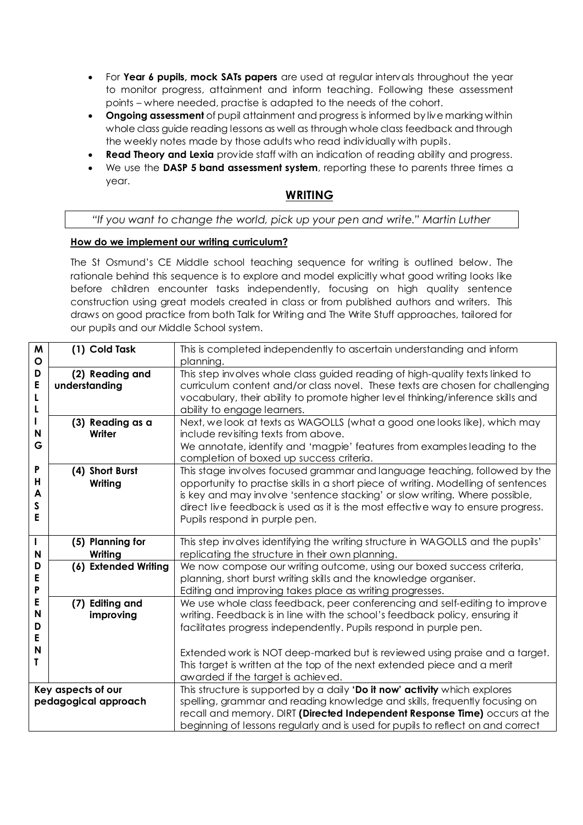- For **Year 6 pupils, mock SATs papers** are used at regular intervals throughout the year to monitor progress, attainment and inform teaching. Following these assessment points – where needed, practise is adapted to the needs of the cohort.
- **Ongoing assessment** of pupil attainment and progress is informed by live marking within whole class guide reading lessons as well as through whole class feedback and through the weekly notes made by those adults who read individually with pupils.
- **Read Theory and Lexia** provide staff with an indication of reading ability and progress.
- We use the **DASP 5 band assessment system**, reporting these to parents three times a year.

## **WRITING**

#### *"If you want to change the world, pick up your pen and write." Martin Luther*

#### **How do we implement our writing curriculum?**

The St Osmund's CE Middle school teaching sequence for writing is outlined below. The rationale behind this sequence is to explore and model explicitly what good writing looks like before children encounter tasks independently, focusing on high quality sentence construction using great models created in class or from published authors and writers. This draws on good practice from both Talk for Writing and The Write Stuff approaches, tailored for our pupils and our Middle School system.

| M<br>O                                     | (1) Cold Task                    | This is completed independently to ascertain understanding and inform<br>planning.                                                                                                                                                                                                                                                                                                        |  |  |  |
|--------------------------------------------|----------------------------------|-------------------------------------------------------------------------------------------------------------------------------------------------------------------------------------------------------------------------------------------------------------------------------------------------------------------------------------------------------------------------------------------|--|--|--|
| D<br>E<br>L<br>L                           | (2) Reading and<br>understanding | This step involves whole class guided reading of high-quality texts linked to<br>curriculum content and/or class novel. These texts are chosen for challenging<br>vocabulary, their ability to promote higher level thinking/inference skills and<br>ability to engage learners.                                                                                                          |  |  |  |
| N<br>G                                     | (3) Reading as a<br>Writer       | Next, we look at texts as WAGOLLS (what a good one looks like), which may<br>include revisiting texts from above.<br>We annotate, identify and 'magpie' features from examples leading to the<br>completion of boxed up success criteria.                                                                                                                                                 |  |  |  |
| P<br>н<br>A<br>S<br>E                      | (4) Short Burst<br>Writing       | This stage involves focused grammar and language teaching, followed by the<br>opportunity to practise skills in a short piece of writing. Modelling of sentences<br>is key and may involve 'sentence stacking' or slow writing. Where possible,<br>direct live feedback is used as it is the most effective way to ensure progress.<br>Pupils respond in purple pen.                      |  |  |  |
| T<br>N                                     | (5) Planning for<br>Writing      | This step involves identifying the writing structure in WAGOLLS and the pupils'<br>replicating the structure in their own planning.                                                                                                                                                                                                                                                       |  |  |  |
| D<br>E<br>P                                | (6) Extended Writing             | We now compose our writing outcome, using our boxed success criteria,<br>planning, short burst writing skills and the knowledge organiser.<br>Editing and improving takes place as writing progresses.                                                                                                                                                                                    |  |  |  |
| E<br>N<br>D<br>E<br>N<br>т                 | (7) Editing and<br>improving     | We use whole class feedback, peer conferencing and self-editing to improve<br>writing. Feedback is in line with the school's feedback policy, ensuring it<br>facilitates progress independently. Pupils respond in purple pen.<br>Extended work is NOT deep-marked but is reviewed using praise and a target.<br>This target is written at the top of the next extended piece and a merit |  |  |  |
|                                            |                                  | awarded if the target is achieved.                                                                                                                                                                                                                                                                                                                                                        |  |  |  |
| Key aspects of our<br>pedagogical approach |                                  | This structure is supported by a daily 'Do it now' activity which explores<br>spelling, grammar and reading knowledge and skills, frequently focusing on<br>recall and memory. DIRT (Directed Independent Response Time) occurs at the<br>beginning of lessons regularly and is used for pupils to reflect on and correct                                                                 |  |  |  |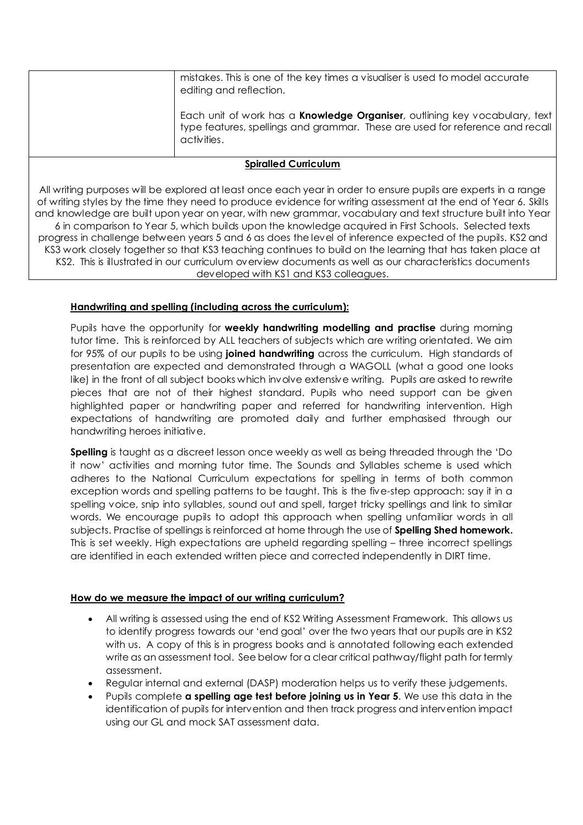mistakes. This is one of the key times a visualiser is used to model accurate editing and reflection. Each unit of work has a **Knowledge Organiser**, outlining key vocabulary, text type features, spellings and grammar. These are used for reference and recall activities. **Spiralled Curriculum** All writing purposes will be explored at least once each year in order to ensure pupils are experts in a range of writing styles by the time they need to produce evidence for writing assessment at the end of Year 6. Skills and knowledge are built upon year on year, with new grammar, vocabulary and text structure built into Year

6 in comparison to Year 5, which builds upon the knowledge acquired in First Schools. Selected texts progress in challenge between years 5 and 6 as does the level of inference expected of the pupils. KS2 and KS3 work closely together so that KS3 teaching continues to build on the learning that has taken place at KS2. This is illustrated in our curriculum overview documents as well as our characteristics documents developed with KS1 and KS3 colleagues.

## **Handwriting and spelling (including across the curriculum):**

Pupils have the opportunity for **weekly handwriting modelling and practise** during morning tutor time. This is reinforced by ALL teachers of subjects which are writing orientated. We aim for 95% of our pupils to be using **joined handwriting** across the curriculum. High standards of presentation are expected and demonstrated through a WAGOLL (what a good one looks like) in the front of all subject books which involve extensive writing. Pupils are asked to rewrite pieces that are not of their highest standard. Pupils who need support can be given highlighted paper or handwriting paper and referred for handwriting intervention. High expectations of handwriting are promoted daily and further emphasised through our handwriting heroes initiative.

**Spelling** is taught as a discreet lesson once weekly as well as being threaded through the 'Do it now' activities and morning tutor time. The Sounds and Syllables scheme is used which adheres to the National Curriculum expectations for spelling in terms of both common exception words and spelling patterns to be taught. This is the five-step approach: say it in a spelling voice, snip into syllables, sound out and spell, target tricky spellings and link to similar words. We encourage pupils to adopt this approach when spelling unfamiliar words in all subjects. Practise of spellings is reinforced at home through the use of **Spelling Shed homework.** This is set weekly. High expectations are upheld regarding spelling – three incorrect spellings are identified in each extended written piece and corrected independently in DIRT time.

### **How do we measure the impact of our writing curriculum?**

- All writing is assessed using the end of KS2 Writing Assessment Framework. This allows us to identify progress towards our 'end goal' over the two years that our pupils are in KS2 with us. A copy of this is in progress books and is annotated following each extended write as an assessment tool. See below for a clear critical pathway/flight path for termly assessment.
- Regular internal and external (DASP) moderation helps us to verify these judgements.
- Pupils complete **a spelling age test before joining us in Year 5**. We use this data in the identification of pupils for intervention and then track progress and intervention impact using our GL and mock SAT assessment data.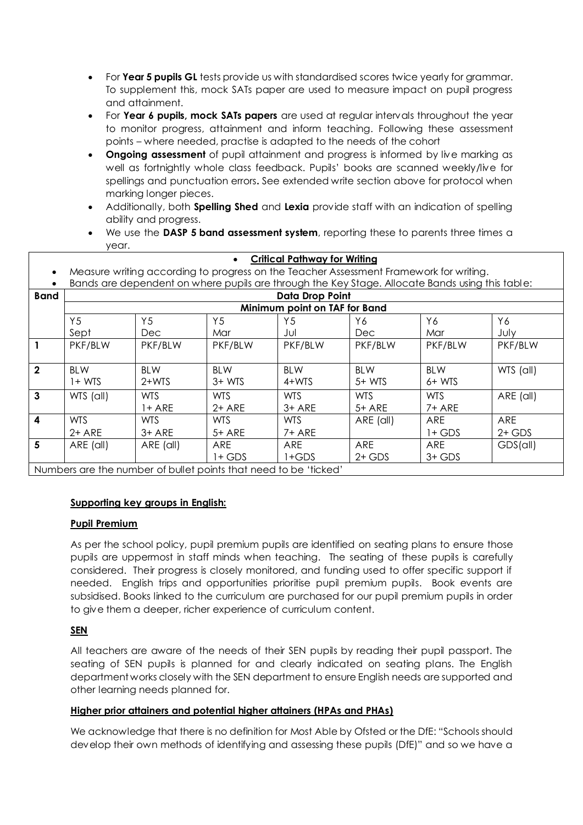- For **Year 5 pupils GL** tests provide us with standardised scores twice yearly for grammar. To supplement this, mock SATs paper are used to measure impact on pupil progress and attainment.
- For **Year 6 pupils, mock SATs papers** are used at regular intervals throughout the year to monitor progress, attainment and inform teaching. Following these assessment points – where needed, practise is adapted to the needs of the cohort
- **Ongoing assessment** of pupil attainment and progress is informed by live marking as well as fortnightly whole class feedback. Pupils' books are scanned weekly/live for spellings and punctuation errors**.** See extended write section above for protocol when marking longer pieces.
- Additionally, both **Spelling Shed** and **Lexia** provide staff with an indication of spelling ability and progress.
- We use the **DASP 5 band assessment system**, reporting these to parents three times a year.

| <b>Critical Pathway for Writing</b><br>$\bullet$                 |                                                                                                 |                |            |                |            |            |            |  |  |  |
|------------------------------------------------------------------|-------------------------------------------------------------------------------------------------|----------------|------------|----------------|------------|------------|------------|--|--|--|
| $\bullet$                                                        | Measure writing according to progress on the Teacher Assessment Framework for writing.          |                |            |                |            |            |            |  |  |  |
|                                                                  | Bands are dependent on where pupils are through the Key Stage. Allocate Bands using this table: |                |            |                |            |            |            |  |  |  |
| <b>Band</b>                                                      | <b>Data Drop Point</b>                                                                          |                |            |                |            |            |            |  |  |  |
|                                                                  | Minimum point on TAF for Band                                                                   |                |            |                |            |            |            |  |  |  |
|                                                                  | Y <sub>5</sub>                                                                                  | Y <sub>5</sub> | Y5         | Y <sub>5</sub> | Y6         | Y6         | Y6         |  |  |  |
|                                                                  | Sept                                                                                            | Dec            | Mar        | Jul            | <b>Dec</b> | Mar        | July       |  |  |  |
| $\mathbf{1}$                                                     | PKF/BLW                                                                                         | PKF/BLW        | PKF/BLW    | PKF/BLW        | PKF/BLW    | PKF/BLW    | PKF/BLW    |  |  |  |
|                                                                  |                                                                                                 |                |            |                |            |            |            |  |  |  |
| $\overline{2}$                                                   | <b>BLW</b>                                                                                      | <b>BLW</b>     | <b>BLW</b> | <b>BLW</b>     | <b>BLW</b> | <b>BLW</b> | WTS (all)  |  |  |  |
|                                                                  | $1+ WTS$                                                                                        | $2+WTS$        | $3+ WTS$   | 4+WTS          | $5+ WTS$   | $6+$ WTS   |            |  |  |  |
| $\mathbf{3}$                                                     | WTS (all)                                                                                       | <b>WTS</b>     | <b>WTS</b> | <b>WTS</b>     | <b>WTS</b> | <b>WTS</b> | ARE (all)  |  |  |  |
|                                                                  |                                                                                                 | $1+$ ARE       | $2+$ ARE   | $3+$ ARE       | $5+$ ARE   | $7+$ ARE   |            |  |  |  |
| $\overline{4}$                                                   | <b>WTS</b>                                                                                      | WTS.           | WTS.       | WTS.           | ARE (all)  | ARE        | <b>ARE</b> |  |  |  |
|                                                                  | $2+$ ARE                                                                                        | $3+$ ARE       | $5+$ ARE   | $7+$ ARE       |            | $1+$ GDS   | $2+$ GDS   |  |  |  |
| $5\overline{5}$                                                  | ARE (all)                                                                                       | ARE (all)      | ARE        | ARE            | ARE        | ARE        | GDS(all)   |  |  |  |
|                                                                  |                                                                                                 |                | $1+$ GDS   | $1+GDS$        | $2+$ GDS   | $3+$ GDS   |            |  |  |  |
| Numbers are the number of bullet points that need to be 'ticked' |                                                                                                 |                |            |                |            |            |            |  |  |  |

### **Supporting key groups in English:**

#### **Pupil Premium**

As per the school policy, pupil premium pupils are identified on seating plans to ensure those pupils are uppermost in staff minds when teaching. The seating of these pupils is carefully considered. Their progress is closely monitored, and funding used to offer specific support if needed. English trips and opportunities prioritise pupil premium pupils. Book events are subsidised. Books linked to the curriculum are purchased for our pupil premium pupils in order to give them a deeper, richer experience of curriculum content.

### **SEN**

All teachers are aware of the needs of their SEN pupils by reading their pupil passport. The seating of SEN pupils is planned for and clearly indicated on seating plans. The English department works closely with the SEN department to ensure English needs are supported and other learning needs planned for.

### **Higher prior attainers and potential higher attainers (HPAs and PHAs)**

We acknowledge that there is no definition for Most Able by Ofsted or the DfE: "Schools should develop their own methods of identifying and assessing these pupils (DfE)" and so we have a